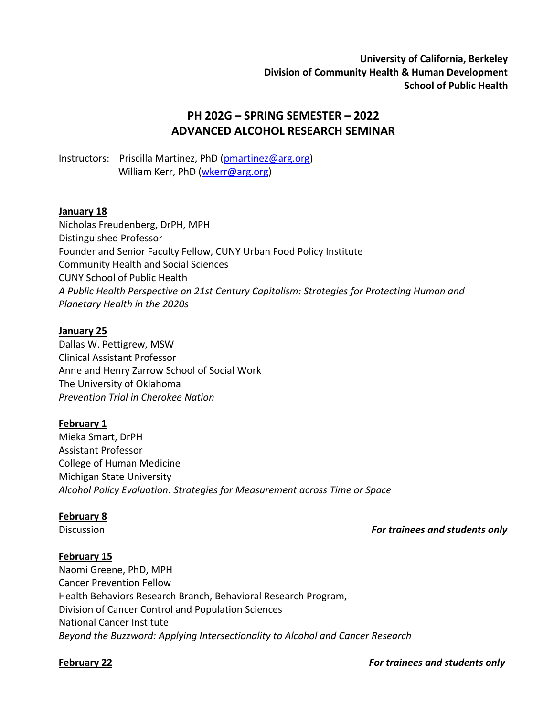**University of California, Berkeley Division of Community Health & Human Development School of Public Health**

# **PH 202G – SPRING SEMESTER – 2022 ADVANCED ALCOHOL RESEARCH SEMINAR**

Instructors: Priscilla Martinez, PhD [\(pmartinez@arg.org\)](mailto:pmartinez@arg.org) William Kerr, PhD [\(wkerr@arg.org\)](mailto:wkerr@arg.org)

## **January 18**

Nicholas Freudenberg, DrPH, MPH Distinguished Professor Founder and Senior Faculty Fellow, CUNY Urban Food Policy Institute Community Health and Social Sciences CUNY School of Public Health *A Public Health Perspective on 21st Century Capitalism: Strategies for Protecting Human and Planetary Health in the 2020s*

## **January 25**

Dallas W. Pettigrew, MSW Clinical Assistant Professor Anne and Henry Zarrow School of Social Work The University of Oklahoma *Prevention Trial in Cherokee Nation*

## **February 1**

Mieka Smart, DrPH Assistant Professor College of Human Medicine Michigan State University *Alcohol Policy Evaluation: Strategies for Measurement across Time or Space* 

## **February 8**

## Discussion*For trainees and students only*

## **February 15**

Naomi Greene, PhD, MPH Cancer Prevention Fellow Health Behaviors Research Branch, Behavioral Research Program, Division of Cancer Control and Population Sciences National Cancer Institute *Beyond the Buzzword: Applying Intersectionality to Alcohol and Cancer Research*

**February 22** *For trainees and students only*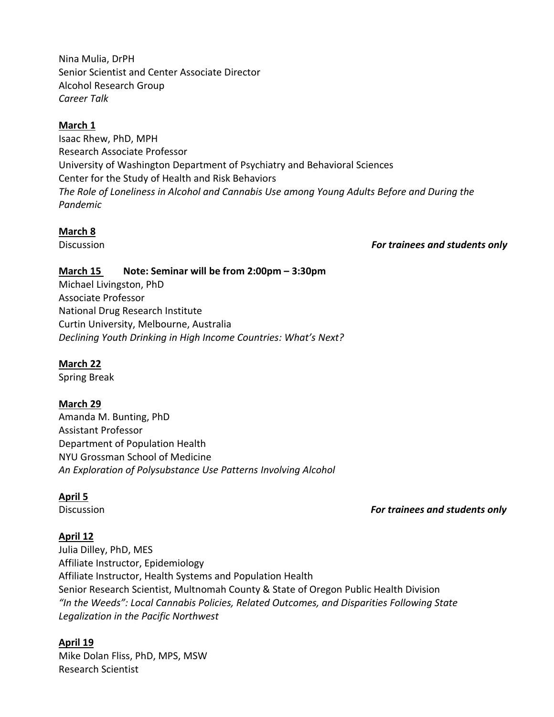Nina Mulia, DrPH Senior Scientist and Center Associate Director Alcohol Research Group *Career Talk*

## **March 1**

Isaac Rhew, PhD, MPH Research Associate Professor University of Washington Department of Psychiatry and Behavioral Sciences Center for the Study of Health and Risk Behaviors *The Role of Loneliness in Alcohol and Cannabis Use among Young Adults Before and During the Pandemic*

## **March 8**

### Discussion *For trainees and students only*

## **March 15 Note: Seminar will be from 2:00pm – 3:30pm**

Michael Livingston, PhD Associate Professor National Drug Research Institute Curtin University, Melbourne, Australia *Declining Youth Drinking in High Income Countries: What's Next?*

## **March 22**

Spring Break

## **March 29**

Amanda M. Bunting, PhD Assistant Professor Department of Population Health NYU Grossman School of Medicine *An Exploration of Polysubstance Use Patterns Involving Alcohol*

## **April 5**

## Discussion *For trainees and students only*

## **April 12**

Julia Dilley, PhD, MES Affiliate Instructor, Epidemiology Affiliate Instructor, Health Systems and Population Health Senior Research Scientist, Multnomah County & State of Oregon Public Health Division *"In the Weeds": Local Cannabis Policies, Related Outcomes, and Disparities Following State Legalization in the Pacific Northwest*

## **April 19**

Mike Dolan Fliss, PhD, MPS, MSW Research Scientist